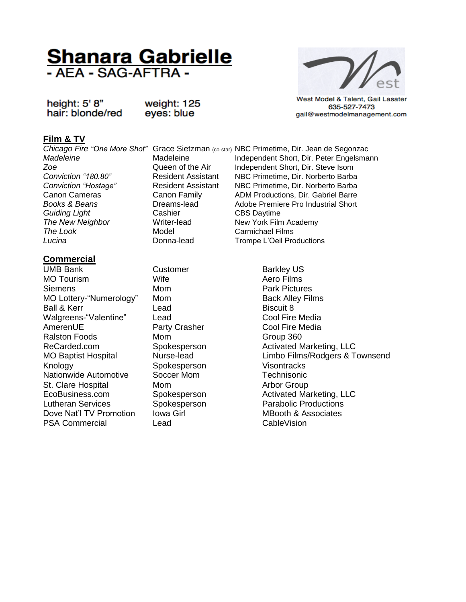# **Shanara Gabrielle**<br>- AEA - SAG-AFTRA -

height: 5' 8" hair: blonde/red weight: 125 eyes: blue

West Model & Talent, Gail Lasater 635-527-7473 gail@westmodelmanagement.com

# **Film & TV**

**Guiding Light** Cashier Cashier CBS Daytime **The New Neighbor** Writer-lead New York Film Academy **The Look** Model Model Carmichael Films

## **Commercial**

UMB Bank Customer Barkley US MO Tourism **MO Tourism** Wife **Aero Films** Siemens Mom Mom Park Pictures MO Lottery-"Numerology" Mom Back Alley Films Ball & Kerr **Lead Ball & Kerr Biscuit 8** Walgreens-"Valentine" Lead Cool Fire Media AmerenUE **Party Crasher Cool Fire Media** Ralston Foods Mom Mom Group 360 ReCarded.com Spokesperson Activated Marketing, LLC Knology Spokesperson Visontracks Nationwide Automotive Soccer Mom Technisonic St. Clare Hospital Mom Mom Arbor Group EcoBusiness.com Spokesperson Activated Marketing, LLC Lutheran Services Spokesperson Parabolic Productions Dove Nat'l TV Promotion Iowa Girl **Internation International MBooth & Associates**<br>
PSA Commercial Lead
Lead **CableVision** PSA Commercial Lead

*Chicago Fire "One More Shot"* Grace Sietzman (co-star) NBC Primetime, Dir. Jean de Segonzac *Madeleine* Madeleine Independent Short, Dir. Peter Engelsmann *Zoe* Queen of the Air Independent Short, Dir. Steve Isom *Conviction "180.80"* Resident Assistant NBC Primetime, Dir. Norberto Barba *Conviction "Hostage"* Resident Assistant NBC Primetime, Dir. Norberto Barba Canon Cameras Canon Family ADM Productions, Dir. Gabriel Barre **Books & Beans Dreams-lead** Adobe Premiere Pro Industrial Short **Lucina Conna-lead Donna-lead Trompe L'Oeil Productions** 

MO Baptist Hospital Nurse-lead Limbo Films/Rodgers & Townsend